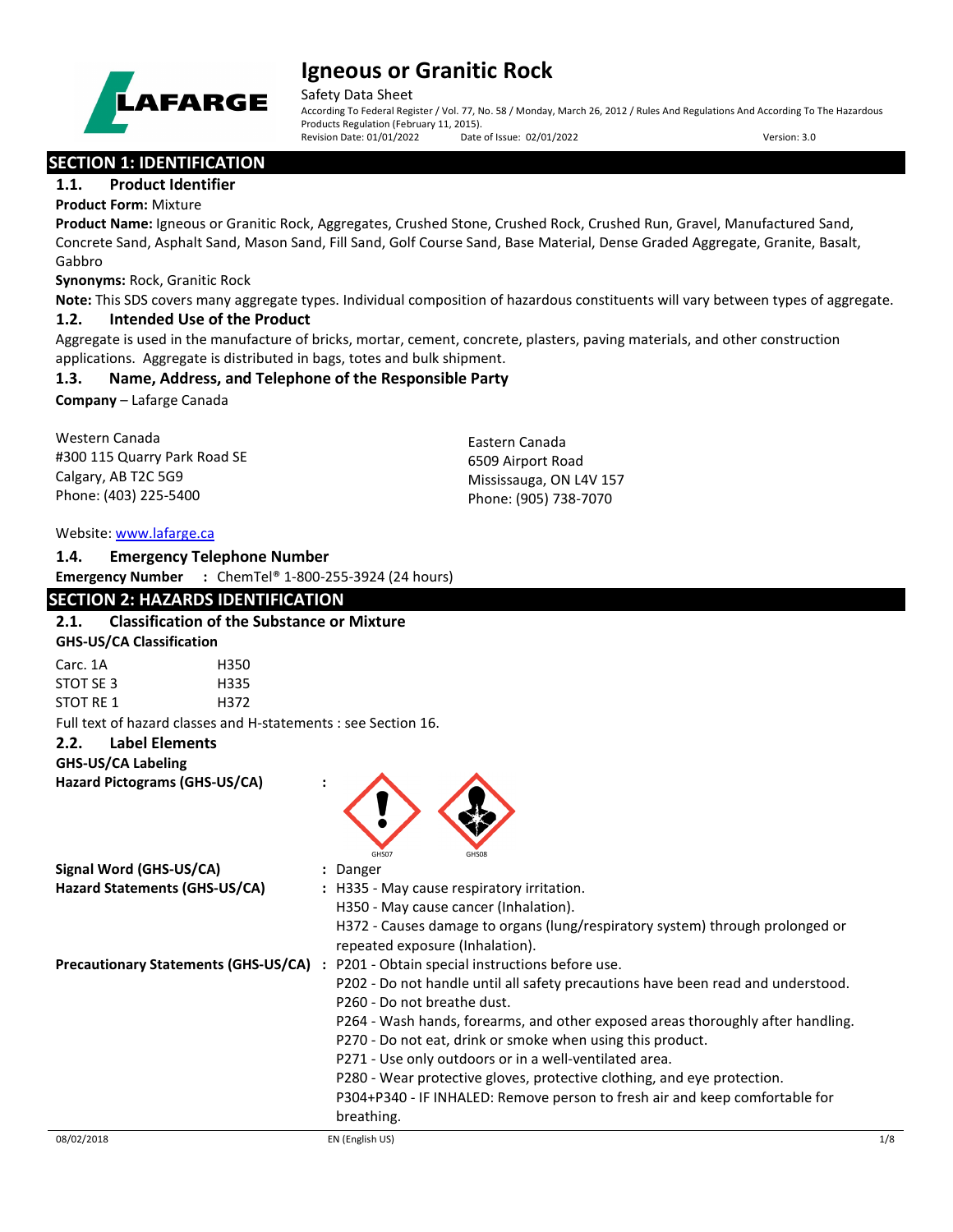

Safety Data Sheet

According To Federal Register / Vol. 77, No. 58 / Monday, March 26, 2012 / Rules And Regulations And According To The Hazardous Products Regulation (February 11, 2015).<br>Revision Date: 01/01/2022 Date of Issue: 02/01/2022 Revision Date: 01/01/2022 Date of Issue: 02/01/2022 Version: 3.0

# **SECTION 1: IDENTIFICATION**

## **1.1. Product Identifier**

**Product Form:** Mixture

**Product Name:** Igneous or Granitic Rock, Aggregates, Crushed Stone, Crushed Rock, Crushed Run, Gravel, Manufactured Sand, Concrete Sand, Asphalt Sand, Mason Sand, Fill Sand, Golf Course Sand, Base Material, Dense Graded Aggregate, Granite, Basalt, Gabbro

**Synonyms:** Rock, Granitic Rock

**Note:** This SDS covers many aggregate types. Individual composition of hazardous constituents will vary between types of aggregate.

## **1.2. Intended Use of the Product**

Aggregate is used in the manufacture of bricks, mortar, cement, concrete, plasters, paving materials, and other construction applications. Aggregate is distributed in bags, totes and bulk shipment.

# **1.3. Name, Address, and Telephone of the Responsible Party**

**Company** – Lafarge Canada

Western Canada #300 115 Quarry Park Road SE Calgary, AB T2C 5G9 Phone: (403) 225-5400

Eastern Canada 6509 Airport Road Mississauga, ON L4V 157 Phone: (905) 738-7070

#### Website: [www.lafarge.ca](file://leon/customers/CUSTOMERS/Lafarge_North_America_Inc/Projects/Authoring_20180316/Batch_Folder/B_Draft_SDS/MS_Word_Files/www.lafarge.ca)

### **1.4. Emergency Telephone Number**

**Emergency Number :** ChemTel® 1-800-255-3924 (24 hours)

## **SECTION 2: HAZARDS IDENTIFICATION**

## **2.1. Classification of the Substance or Mixture**

#### **GHS-US/CA Classification**

Carc. 1A H350 STOT SE 3 H335 STOT RE 1 H372

Full text of hazard classes and H-statements : see Section 16.

# **2.2. Label Elements**

**GHS-US/CA Labeling**

**Hazard Pictograms (GHS-US/CA) :**



| Signal Word (GHS-US/CA)                     | : Danger                                                                                                         |
|---------------------------------------------|------------------------------------------------------------------------------------------------------------------|
| Hazard Statements (GHS-US/CA)               | : H335 - May cause respiratory irritation.                                                                       |
|                                             | H350 - May cause cancer (Inhalation).                                                                            |
|                                             | H372 - Causes damage to organs (lung/respiratory system) through prolonged or<br>repeated exposure (Inhalation). |
| <b>Precautionary Statements (GHS-US/CA)</b> | : P201 - Obtain special instructions before use.                                                                 |
|                                             | P202 - Do not handle until all safety precautions have been read and understood.                                 |
|                                             | P260 - Do not breathe dust.                                                                                      |
|                                             | P264 - Wash hands, forearms, and other exposed areas thoroughly after handling.                                  |
|                                             | P270 - Do not eat, drink or smoke when using this product.                                                       |
|                                             | P271 - Use only outdoors or in a well-ventilated area.                                                           |
|                                             | P280 - Wear protective gloves, protective clothing, and eye protection.                                          |
|                                             | P304+P340 - IF INHALED: Remove person to fresh air and keep comfortable for<br>breathing.                        |
|                                             |                                                                                                                  |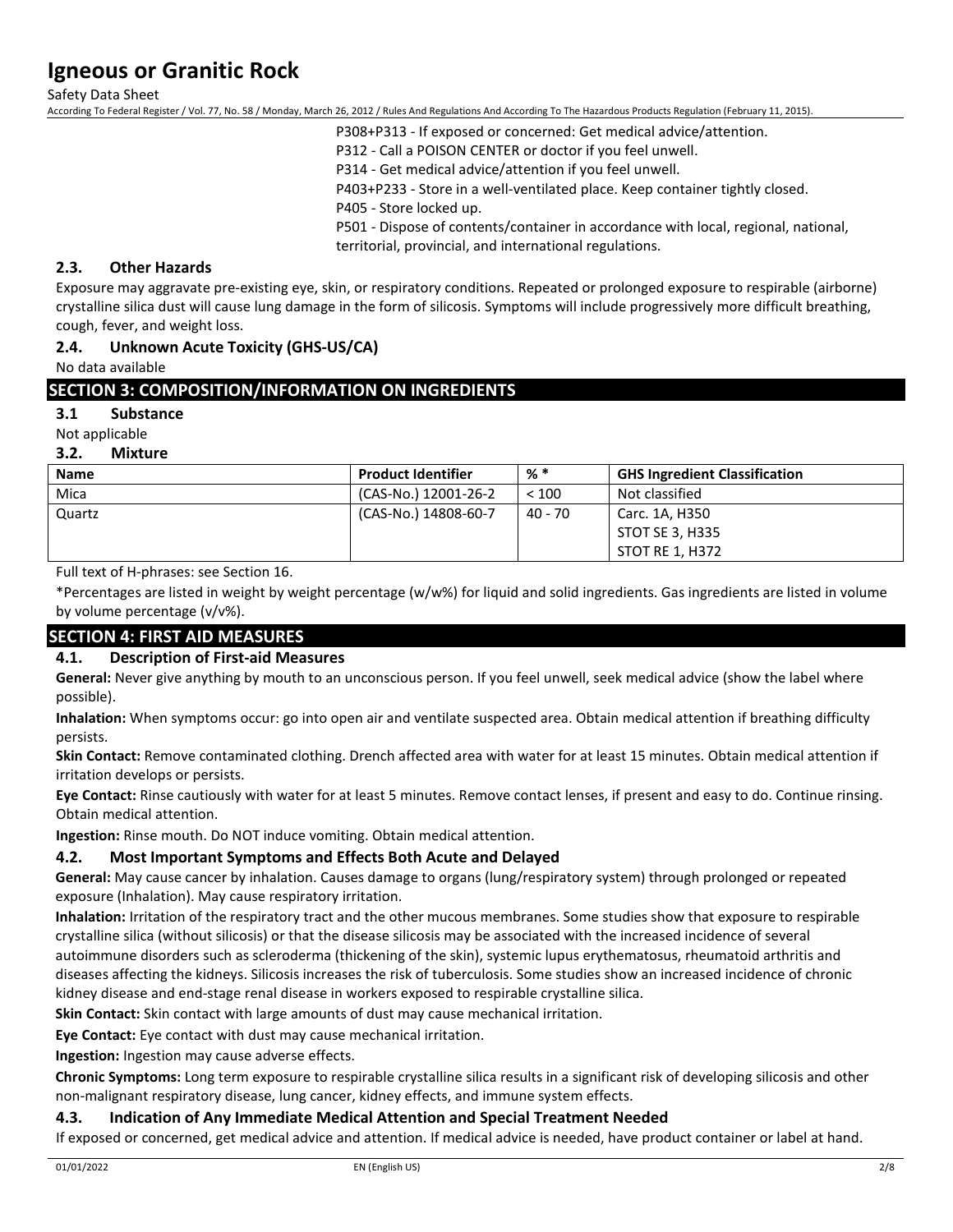Safety Data Sheet

According To Federal Register / Vol. 77, No. 58 / Monday, March 26, 2012 / Rules And Regulations And According To The Hazardous Products Regulation (February 11, 2015).

P308+P313 - If exposed or concerned: Get medical advice/attention.

P312 - Call a POISON CENTER or doctor if you feel unwell.

P314 - Get medical advice/attention if you feel unwell.

P403+P233 - Store in a well-ventilated place. Keep container tightly closed.

P405 - Store locked up.

P501 - Dispose of contents/container in accordance with local, regional, national, territorial, provincial, and international regulations.

### **2.3. Other Hazards**

Exposure may aggravate pre-existing eye, skin, or respiratory conditions. Repeated or prolonged exposure to respirable (airborne) crystalline silica dust will cause lung damage in the form of silicosis. Symptoms will include progressively more difficult breathing, cough, fever, and weight loss.

## **2.4. Unknown Acute Toxicity (GHS-US/CA)**

No data available

## **SECTION 3: COMPOSITION/INFORMATION ON INGREDIENTS**

### **3.1 Substance**

Not applicable

#### **3.2. Mixture**

| <b>Name</b> | <b>Product Identifier</b> | % *     | <b>GHS Ingredient Classification</b> |
|-------------|---------------------------|---------|--------------------------------------|
| Mica        | (CAS-No.) 12001-26-2      | < 100   | Not classified                       |
| Quartz      | (CAS-No.) 14808-60-7      | 40 - 70 | Carc. 1A, H350                       |
|             |                           |         | STOT SE 3, H335                      |
|             |                           |         | STOT RE 1, H372                      |

Full text of H-phrases: see Section 16.

\*Percentages are listed in weight by weight percentage (w/w%) for liquid and solid ingredients. Gas ingredients are listed in volume by volume percentage (v/v%).

# **SECTION 4: FIRST AID MEASURES**

### **4.1. Description of First-aid Measures**

**General:** Never give anything by mouth to an unconscious person. If you feel unwell, seek medical advice (show the label where possible).

**Inhalation:** When symptoms occur: go into open air and ventilate suspected area. Obtain medical attention if breathing difficulty persists.

**Skin Contact:** Remove contaminated clothing. Drench affected area with water for at least 15 minutes. Obtain medical attention if irritation develops or persists.

**Eye Contact:** Rinse cautiously with water for at least 5 minutes. Remove contact lenses, if present and easy to do. Continue rinsing. Obtain medical attention.

**Ingestion:** Rinse mouth. Do NOT induce vomiting. Obtain medical attention.

### **4.2. Most Important Symptoms and Effects Both Acute and Delayed**

**General:** May cause cancer by inhalation. Causes damage to organs (lung/respiratory system) through prolonged or repeated exposure (Inhalation). May cause respiratory irritation.

**Inhalation:** Irritation of the respiratory tract and the other mucous membranes. Some studies show that exposure to respirable crystalline silica (without silicosis) or that the disease silicosis may be associated with the increased incidence of several autoimmune disorders such as scleroderma (thickening of the skin), systemic lupus erythematosus, rheumatoid arthritis and diseases affecting the kidneys. Silicosis increases the risk of tuberculosis. Some studies show an increased incidence of chronic kidney disease and end-stage renal disease in workers exposed to respirable crystalline silica.

**Skin Contact:** Skin contact with large amounts of dust may cause mechanical irritation.

**Eye Contact:** Eye contact with dust may cause mechanical irritation.

**Ingestion:** Ingestion may cause adverse effects.

**Chronic Symptoms:** Long term exposure to respirable crystalline silica results in a significant risk of developing silicosis and other non-malignant respiratory disease, lung cancer, kidney effects, and immune system effects.

### **4.3. Indication of Any Immediate Medical Attention and Special Treatment Needed**

If exposed or concerned, get medical advice and attention. If medical advice is needed, have product container or label at hand.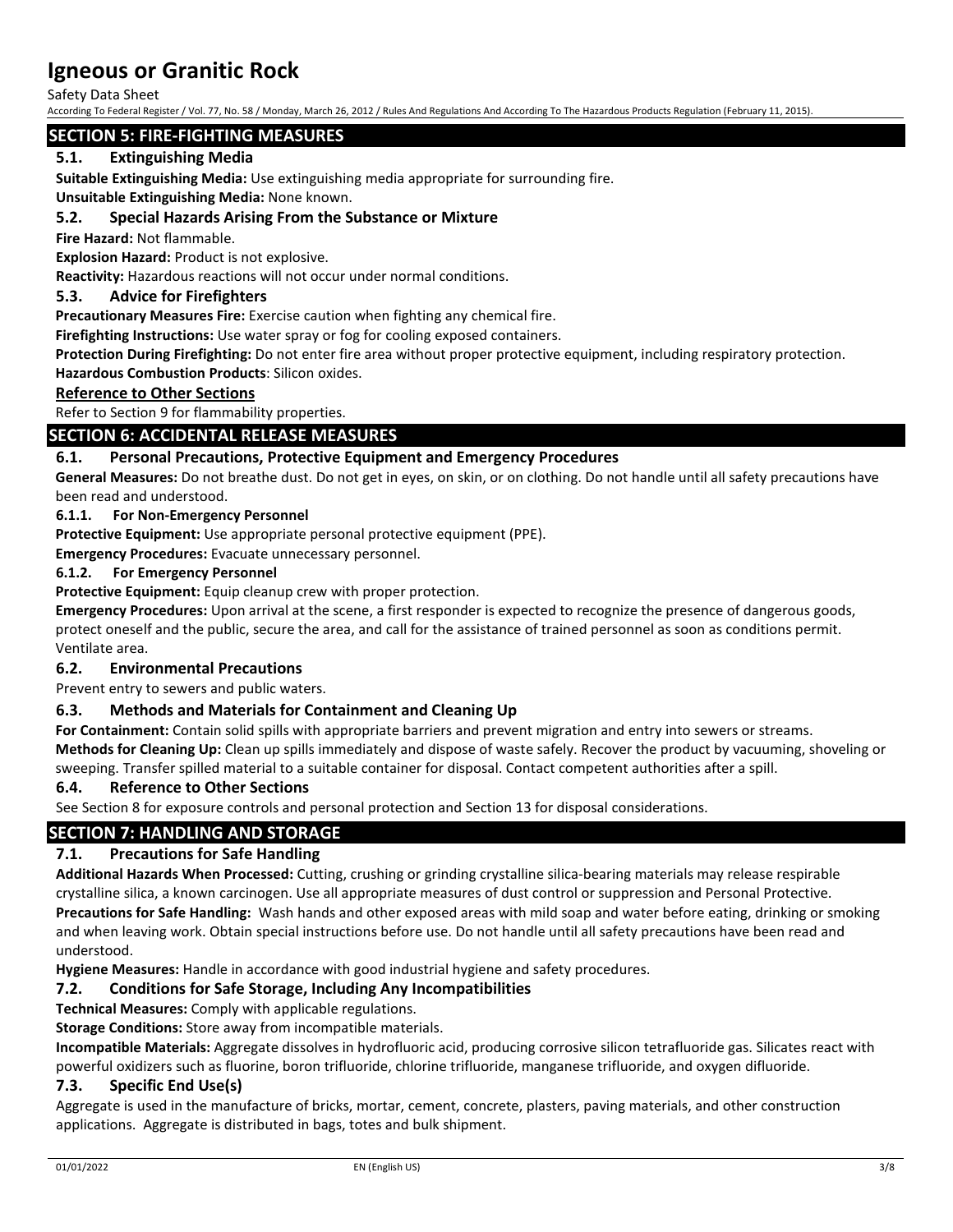Safety Data Sheet

According To Federal Register / Vol. 77, No. 58 / Monday, March 26, 2012 / Rules And Regulations And According To The Hazardous Products Regulation (February 11, 2015).

### **SECTION 5: FIRE-FIGHTING MEASURES**

# **5.1. Extinguishing Media**

**Suitable Extinguishing Media:** Use extinguishing media appropriate for surrounding fire.

**Unsuitable Extinguishing Media:** None known.

### **5.2. Special Hazards Arising From the Substance or Mixture**

**Fire Hazard:** Not flammable.

**Explosion Hazard:** Product is not explosive.

**Reactivity:** Hazardous reactions will not occur under normal conditions.

#### **5.3. Advice for Firefighters**

**Precautionary Measures Fire:** Exercise caution when fighting any chemical fire.

**Firefighting Instructions:** Use water spray or fog for cooling exposed containers.

**Protection During Firefighting:** Do not enter fire area without proper protective equipment, including respiratory protection. **Hazardous Combustion Products**: Silicon oxides.

#### **Reference to Other Sections**

Refer to Section 9 for flammability properties.

### **SECTION 6: ACCIDENTAL RELEASE MEASURES**

### **6.1. Personal Precautions, Protective Equipment and Emergency Procedures**

**General Measures:** Do not breathe dust. Do not get in eyes, on skin, or on clothing. Do not handle until all safety precautions have been read and understood.

#### **6.1.1. For Non-Emergency Personnel**

**Protective Equipment:** Use appropriate personal protective equipment (PPE).

**Emergency Procedures:** Evacuate unnecessary personnel.

#### **6.1.2. For Emergency Personnel**

**Protective Equipment:** Equip cleanup crew with proper protection.

**Emergency Procedures:** Upon arrival at the scene, a first responder is expected to recognize the presence of dangerous goods, protect oneself and the public, secure the area, and call for the assistance of trained personnel as soon as conditions permit. Ventilate area.

### **6.2. Environmental Precautions**

Prevent entry to sewers and public waters.

### **6.3. Methods and Materials for Containment and Cleaning Up**

**For Containment:** Contain solid spills with appropriate barriers and prevent migration and entry into sewers or streams. **Methods for Cleaning Up:** Clean up spills immediately and dispose of waste safely. Recover the product by vacuuming, shoveling or sweeping. Transfer spilled material to a suitable container for disposal. Contact competent authorities after a spill.

#### **6.4. Reference to Other Sections**

See Section 8 for exposure controls and personal protection and Section 13 for disposal considerations.

### **SECTION 7: HANDLING AND STORAGE**

### **7.1. Precautions for Safe Handling**

**Additional Hazards When Processed:** Cutting, crushing or grinding crystalline silica-bearing materials may release respirable crystalline silica, a known carcinogen. Use all appropriate measures of dust control or suppression and Personal Protective. **Precautions for Safe Handling:** Wash hands and other exposed areas with mild soap and water before eating, drinking or smoking and when leaving work. Obtain special instructions before use. Do not handle until all safety precautions have been read and understood.

**Hygiene Measures:** Handle in accordance with good industrial hygiene and safety procedures.

### **7.2. Conditions for Safe Storage, Including Any Incompatibilities**

**Technical Measures:** Comply with applicable regulations.

**Storage Conditions:** Store away from incompatible materials.

**Incompatible Materials:** Aggregate dissolves in hydrofluoric acid, producing corrosive silicon tetrafluoride gas. Silicates react with powerful oxidizers such as fluorine, boron trifluoride, chlorine trifluoride, manganese trifluoride, and oxygen difluoride.

### **7.3. Specific End Use(s)**

Aggregate is used in the manufacture of bricks, mortar, cement, concrete, plasters, paving materials, and other construction applications. Aggregate is distributed in bags, totes and bulk shipment.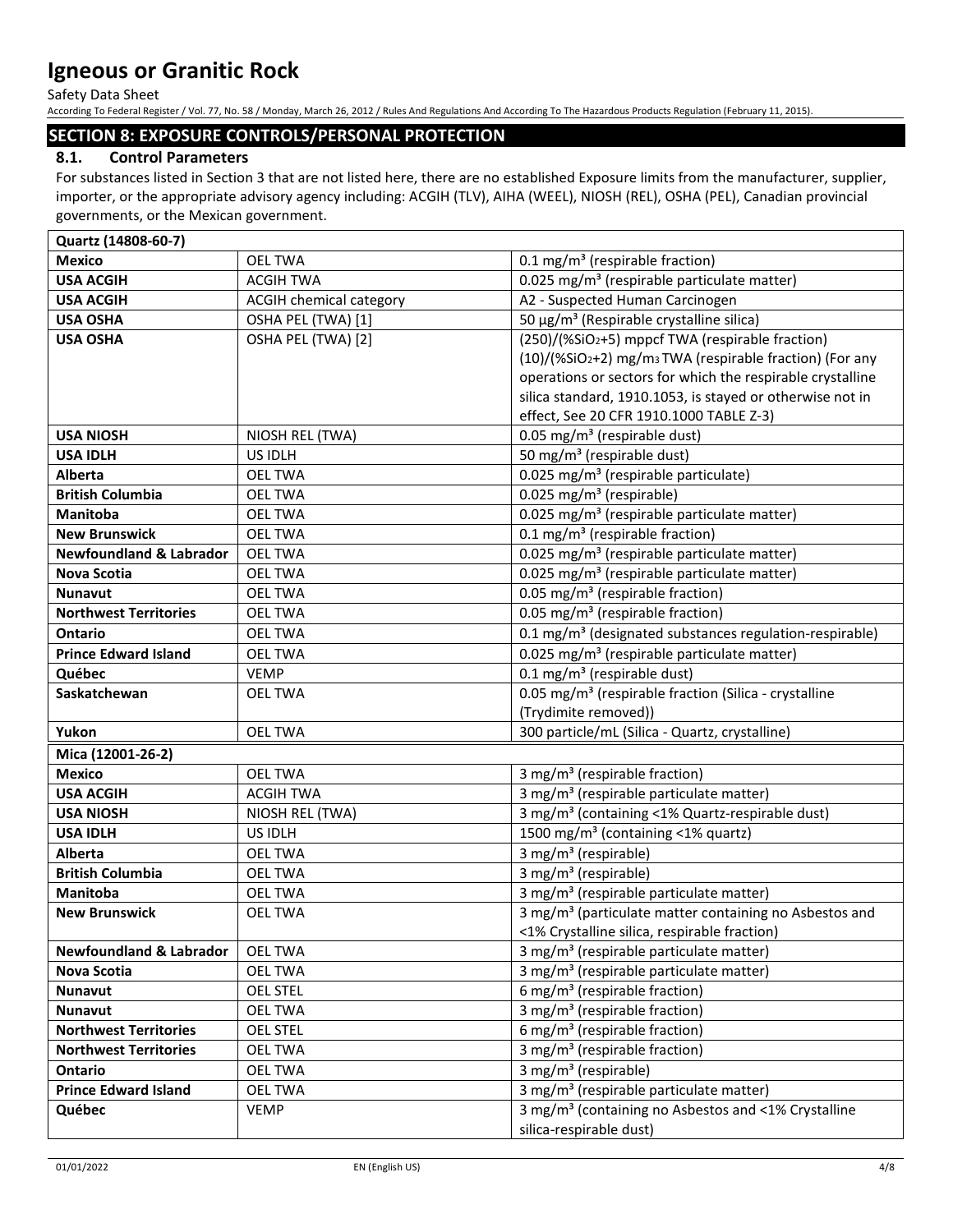Safety Data Sheet

According To Federal Register / Vol. 77, No. 58 / Monday, March 26, 2012 / Rules And Regulations And According To The Hazardous Products Regulation (February 11, 2015).

## **SECTION 8: EXPOSURE CONTROLS/PERSONAL PROTECTION**

# **8.1. Control Parameters**

For substances listed in Section 3 that are not listed here, there are no established Exposure limits from the manufacturer, supplier, importer, or the appropriate advisory agency including: ACGIH (TLV), AIHA (WEEL), NIOSH (REL), OSHA (PEL), Canadian provincial governments, or the Mexican government.

| Quartz (14808-60-7)                |                         |                                                                     |
|------------------------------------|-------------------------|---------------------------------------------------------------------|
| <b>Mexico</b>                      | <b>OEL TWA</b>          | 0.1 mg/m <sup>3</sup> (respirable fraction)                         |
| <b>USA ACGIH</b>                   | <b>ACGIH TWA</b>        | 0.025 mg/m <sup>3</sup> (respirable particulate matter)             |
| <b>USA ACGIH</b>                   | ACGIH chemical category | A2 - Suspected Human Carcinogen                                     |
| <b>USA OSHA</b>                    | OSHA PEL (TWA) [1]      | 50 μg/m <sup>3</sup> (Respirable crystalline silica)                |
| <b>USA OSHA</b>                    | OSHA PEL (TWA) [2]      | (250)/(%SiO2+5) mppcf TWA (respirable fraction)                     |
|                                    |                         | (10)/(%SiO2+2) mg/m <sub>3</sub> TWA (respirable fraction) (For any |
|                                    |                         | operations or sectors for which the respirable crystalline          |
|                                    |                         | silica standard, 1910.1053, is stayed or otherwise not in           |
|                                    |                         | effect, See 20 CFR 1910.1000 TABLE Z-3)                             |
| <b>USA NIOSH</b>                   | NIOSH REL (TWA)         | 0.05 mg/m <sup>3</sup> (respirable dust)                            |
| <b>USA IDLH</b>                    | US IDLH                 | 50 mg/m <sup>3</sup> (respirable dust)                              |
| Alberta                            | <b>OEL TWA</b>          | 0.025 mg/m <sup>3</sup> (respirable particulate)                    |
| <b>British Columbia</b>            | <b>OEL TWA</b>          | 0.025 mg/m <sup>3</sup> (respirable)                                |
| Manitoba                           | <b>OEL TWA</b>          | 0.025 mg/m <sup>3</sup> (respirable particulate matter)             |
| <b>New Brunswick</b>               | <b>OEL TWA</b>          | 0.1 mg/m <sup>3</sup> (respirable fraction)                         |
| <b>Newfoundland &amp; Labrador</b> | <b>OEL TWA</b>          | 0.025 mg/m <sup>3</sup> (respirable particulate matter)             |
| <b>Nova Scotia</b>                 | <b>OEL TWA</b>          | 0.025 mg/m <sup>3</sup> (respirable particulate matter)             |
| <b>Nunavut</b>                     | <b>OEL TWA</b>          | 0.05 mg/m <sup>3</sup> (respirable fraction)                        |
| <b>Northwest Territories</b>       | <b>OEL TWA</b>          | 0.05 mg/m <sup>3</sup> (respirable fraction)                        |
| <b>Ontario</b>                     | <b>OEL TWA</b>          | 0.1 mg/m <sup>3</sup> (designated substances regulation-respirable) |
| <b>Prince Edward Island</b>        | <b>OEL TWA</b>          | 0.025 mg/m <sup>3</sup> (respirable particulate matter)             |
| Québec                             | <b>VEMP</b>             | 0.1 mg/m <sup>3</sup> (respirable dust)                             |
| Saskatchewan                       | <b>OEL TWA</b>          | 0.05 mg/m <sup>3</sup> (respirable fraction (Silica - crystalline   |
|                                    |                         | (Trydimite removed))                                                |
| Yukon                              | <b>OEL TWA</b>          | 300 particle/mL (Silica - Quartz, crystalline)                      |
| Mica (12001-26-2)                  |                         |                                                                     |
| <b>Mexico</b>                      | <b>OEL TWA</b>          | 3 mg/m <sup>3</sup> (respirable fraction)                           |
| <b>USA ACGIH</b>                   | <b>ACGIH TWA</b>        | 3 mg/m <sup>3</sup> (respirable particulate matter)                 |
| <b>USA NIOSH</b>                   | NIOSH REL (TWA)         | 3 mg/m <sup>3</sup> (containing <1% Quartz-respirable dust)         |
| <b>USA IDLH</b>                    | US IDLH                 | 1500 mg/m <sup>3</sup> (containing <1% quartz)                      |
| <b>Alberta</b>                     | <b>OEL TWA</b>          | 3 mg/m <sup>3</sup> (respirable)                                    |
| <b>British Columbia</b>            | <b>OEL TWA</b>          | 3 mg/m <sup>3</sup> (respirable)                                    |
| <b>Manitoba</b>                    | <b>OEL TWA</b>          | 3 mg/m <sup>3</sup> (respirable particulate matter)                 |
| <b>New Brunswick</b>               | <b>OEL TWA</b>          | 3 mg/m <sup>3</sup> (particulate matter containing no Asbestos and  |
|                                    |                         | <1% Crystalline silica, respirable fraction)                        |
| <b>Newfoundland &amp; Labrador</b> | <b>OEL TWA</b>          | 3 mg/m <sup>3</sup> (respirable particulate matter)                 |
| Nova Scotia                        | <b>OEL TWA</b>          | 3 mg/m <sup>3</sup> (respirable particulate matter)                 |
| <b>Nunavut</b>                     | <b>OEL STEL</b>         | 6 mg/m <sup>3</sup> (respirable fraction)                           |
| <b>Nunavut</b>                     | <b>OEL TWA</b>          | 3 mg/m <sup>3</sup> (respirable fraction)                           |
| <b>Northwest Territories</b>       | <b>OEL STEL</b>         | 6 mg/m <sup>3</sup> (respirable fraction)                           |
| <b>Northwest Territories</b>       | <b>OEL TWA</b>          | 3 mg/m <sup>3</sup> (respirable fraction)                           |
| Ontario                            | <b>OEL TWA</b>          | 3 mg/m <sup>3</sup> (respirable)                                    |
| <b>Prince Edward Island</b>        | <b>OEL TWA</b>          | 3 mg/m <sup>3</sup> (respirable particulate matter)                 |
| Québec                             | <b>VEMP</b>             | 3 mg/m <sup>3</sup> (containing no Asbestos and <1% Crystalline     |
|                                    |                         | silica-respirable dust)                                             |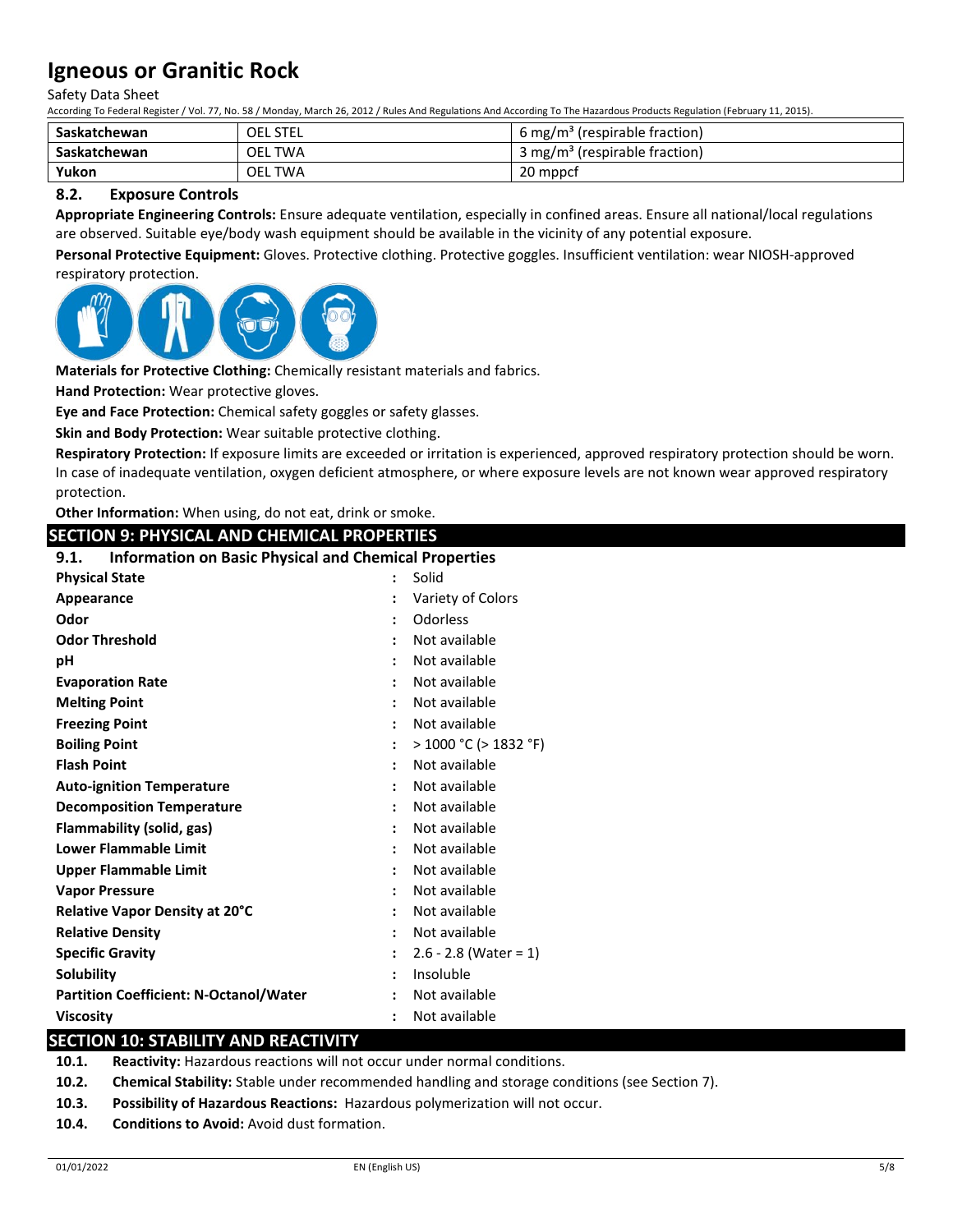Safety Data Sheet

According To Federal Register / Vol. 77, No. 58 / Monday, March 26, 2012 / Rules And Regulations And According To The Hazardous Products Regulation (February 11, 2015).

| Saskatchewan | OEL STEL                 | 6 mg/m <sup>3</sup> (respirable fraction)              |
|--------------|--------------------------|--------------------------------------------------------|
| Saskatchewan | <b>OEL</b><br><b>TWA</b> | <sup>1</sup> 3 mg/m <sup>3</sup> (respirable fraction) |
| Yukon        | OEL.<br>TWA              | 20 mppcf                                               |

### **8.2. Exposure Controls**

**Appropriate Engineering Controls:** Ensure adequate ventilation, especially in confined areas. Ensure all national/local regulations are observed. Suitable eye/body wash equipment should be available in the vicinity of any potential exposure.

**Personal Protective Equipment:** Gloves. Protective clothing. Protective goggles. Insufficient ventilation: wear NIOSH-approved respiratory protection.



**Materials for Protective Clothing:** Chemically resistant materials and fabrics.

**Hand Protection:** Wear protective gloves.

**Eye and Face Protection:** Chemical safety goggles or safety glasses.

**Skin and Body Protection:** Wear suitable protective clothing.

**Respiratory Protection:** If exposure limits are exceeded or irritation is experienced, approved respiratory protection should be worn. In case of inadequate ventilation, oxygen deficient atmosphere, or where exposure levels are not known wear approved respiratory protection.

**Other Information:** When using, do not eat, drink or smoke.

# **SECTION 9: PHYSICAL AND CHEMICAL PROPERTIES**

| <b>Information on Basic Physical and Chemical Properties</b><br>9.1. |  |                          |
|----------------------------------------------------------------------|--|--------------------------|
| <b>Physical State</b>                                                |  | Solid                    |
| Appearance                                                           |  | Variety of Colors        |
| Odor                                                                 |  | Odorless                 |
| <b>Odor Threshold</b>                                                |  | Not available            |
| рH                                                                   |  | Not available            |
| <b>Evaporation Rate</b>                                              |  | Not available            |
| <b>Melting Point</b>                                                 |  | Not available            |
| <b>Freezing Point</b>                                                |  | Not available            |
| <b>Boiling Point</b>                                                 |  | $>1000$ °C ( $>1832$ °F) |
| <b>Flash Point</b>                                                   |  | Not available            |
| <b>Auto-ignition Temperature</b>                                     |  | Not available            |
| <b>Decomposition Temperature</b>                                     |  | Not available            |
| Flammability (solid, gas)                                            |  | Not available            |
| <b>Lower Flammable Limit</b>                                         |  | Not available            |
| Upper Flammable Limit                                                |  | Not available            |
| <b>Vapor Pressure</b>                                                |  | Not available            |
| Relative Vapor Density at 20°C                                       |  | Not available            |
| <b>Relative Density</b>                                              |  | Not available            |
| <b>Specific Gravity</b>                                              |  | $2.6 - 2.8$ (Water = 1)  |
| <b>Solubility</b>                                                    |  | Insoluble                |
| <b>Partition Coefficient: N-Octanol/Water</b>                        |  | Not available            |
| Viscosity                                                            |  | Not available            |

### **SECTION 10: STABILITY AND REACTIVITY**

**10.1. Reactivity:** Hazardous reactions will not occur under normal conditions.

- **10.2. Chemical Stability:** Stable under recommended handling and storage conditions (see Section 7).
- **10.3. Possibility of Hazardous Reactions:** Hazardous polymerization will not occur.
- **10.4. Conditions to Avoid:** Avoid dust formation.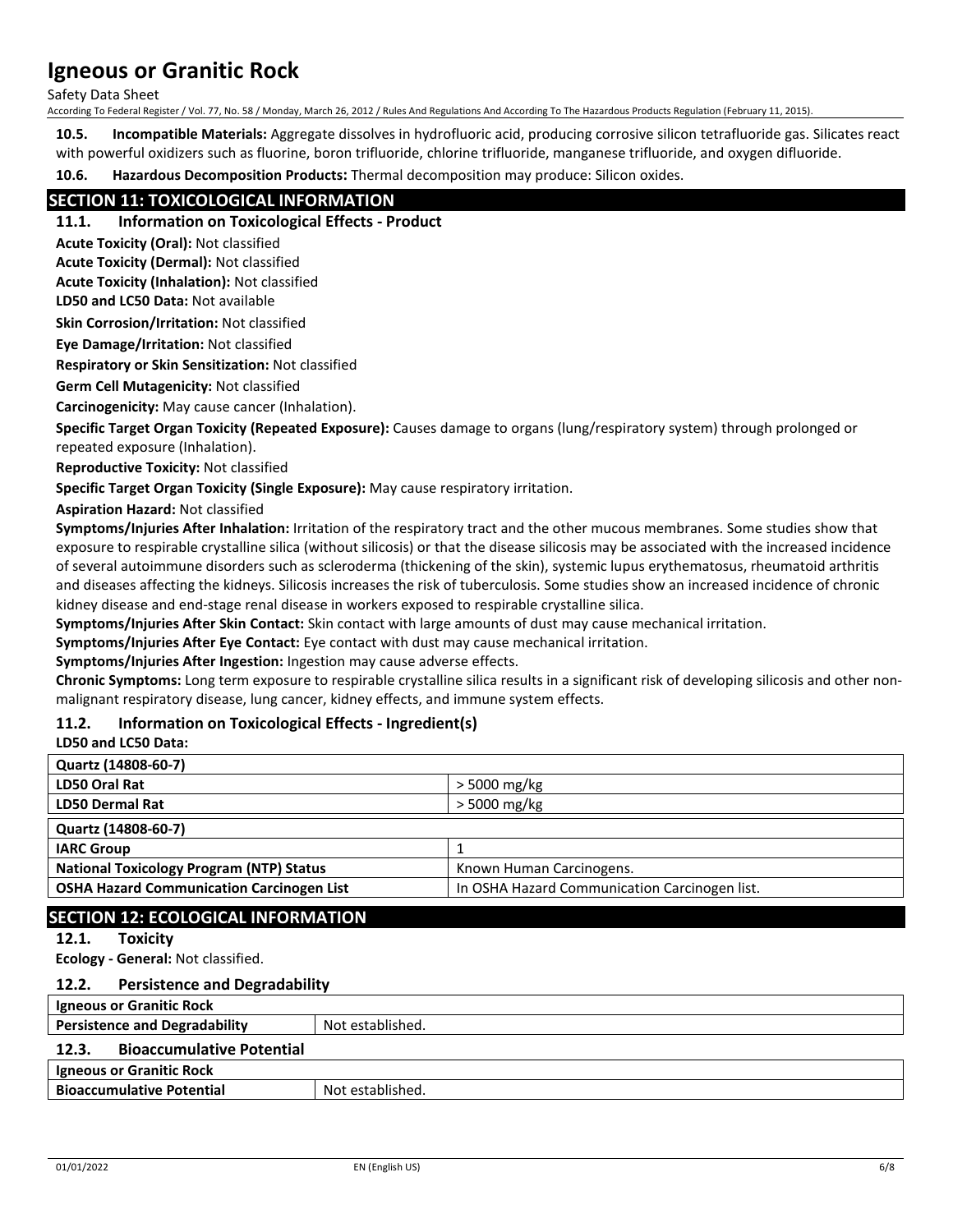Safety Data Sheet

According To Federal Register / Vol. 77, No. 58 / Monday, March 26, 2012 / Rules And Regulations And According To The Hazardous Products Regulation (February 11, 2015).

**10.5. Incompatible Materials:** Aggregate dissolves in hydrofluoric acid, producing corrosive silicon tetrafluoride gas. Silicates react with powerful oxidizers such as fluorine, boron trifluoride, chlorine trifluoride, manganese trifluoride, and oxygen difluoride.

**10.6. Hazardous Decomposition Products:** Thermal decomposition may produce: Silicon oxides.

## **SECTION 11: TOXICOLOGICAL INFORMATION**

**11.1. Information on Toxicological Effects - Product**

**Acute Toxicity (Oral):** Not classified

**Acute Toxicity (Dermal):** Not classified

**Acute Toxicity (Inhalation):** Not classified

**LD50 and LC50 Data:** Not available

**Skin Corrosion/Irritation:** Not classified

**Eye Damage/Irritation:** Not classified

**Respiratory or Skin Sensitization:** Not classified

**Germ Cell Mutagenicity:** Not classified

**Carcinogenicity:** May cause cancer (Inhalation).

**Specific Target Organ Toxicity (Repeated Exposure):** Causes damage to organs (lung/respiratory system) through prolonged or repeated exposure (Inhalation).

**Reproductive Toxicity:** Not classified

**Specific Target Organ Toxicity (Single Exposure):** May cause respiratory irritation.

**Aspiration Hazard:** Not classified

**Symptoms/Injuries After Inhalation:** Irritation of the respiratory tract and the other mucous membranes. Some studies show that exposure to respirable crystalline silica (without silicosis) or that the disease silicosis may be associated with the increased incidence of several autoimmune disorders such as scleroderma (thickening of the skin), systemic lupus erythematosus, rheumatoid arthritis and diseases affecting the kidneys. Silicosis increases the risk of tuberculosis. Some studies show an increased incidence of chronic kidney disease and end-stage renal disease in workers exposed to respirable crystalline silica.

**Symptoms/Injuries After Skin Contact:** Skin contact with large amounts of dust may cause mechanical irritation.

**Symptoms/Injuries After Eye Contact:** Eye contact with dust may cause mechanical irritation.

**Symptoms/Injuries After Ingestion:** Ingestion may cause adverse effects.

**Chronic Symptoms:** Long term exposure to respirable crystalline silica results in a significant risk of developing silicosis and other nonmalignant respiratory disease, lung cancer, kidney effects, and immune system effects.

### **11.2. Information on Toxicological Effects - Ingredient(s)**

**LD50 and LC50 Data:**

| Quartz (14808-60-7)                              |                                               |
|--------------------------------------------------|-----------------------------------------------|
| LD50 Oral Rat                                    | $>$ 5000 mg/kg                                |
| <b>LD50 Dermal Rat</b>                           | > 5000 mg/kg                                  |
| Quartz (14808-60-7)                              |                                               |
| <b>IARC Group</b>                                |                                               |
| <b>National Toxicology Program (NTP) Status</b>  | Known Human Carcinogens.                      |
| <b>OSHA Hazard Communication Carcinogen List</b> | In OSHA Hazard Communication Carcinogen list. |
|                                                  |                                               |

# **SECTION 12: ECOLOGICAL INFORMATION**

### **12.1. Toxicity**

**Ecology - General:** Not classified.

### **12.2. Persistence and Degradability**

| <b>Igneous or Granitic Rock</b>           |                  |  |
|-------------------------------------------|------------------|--|
| <b>Persistence and Degradability</b>      | Not established. |  |
| <b>Bioaccumulative Potential</b><br>12.3. |                  |  |
| <b>Igneous or Granitic Rock</b>           |                  |  |
| <b>Bioaccumulative Potential</b>          | Not established. |  |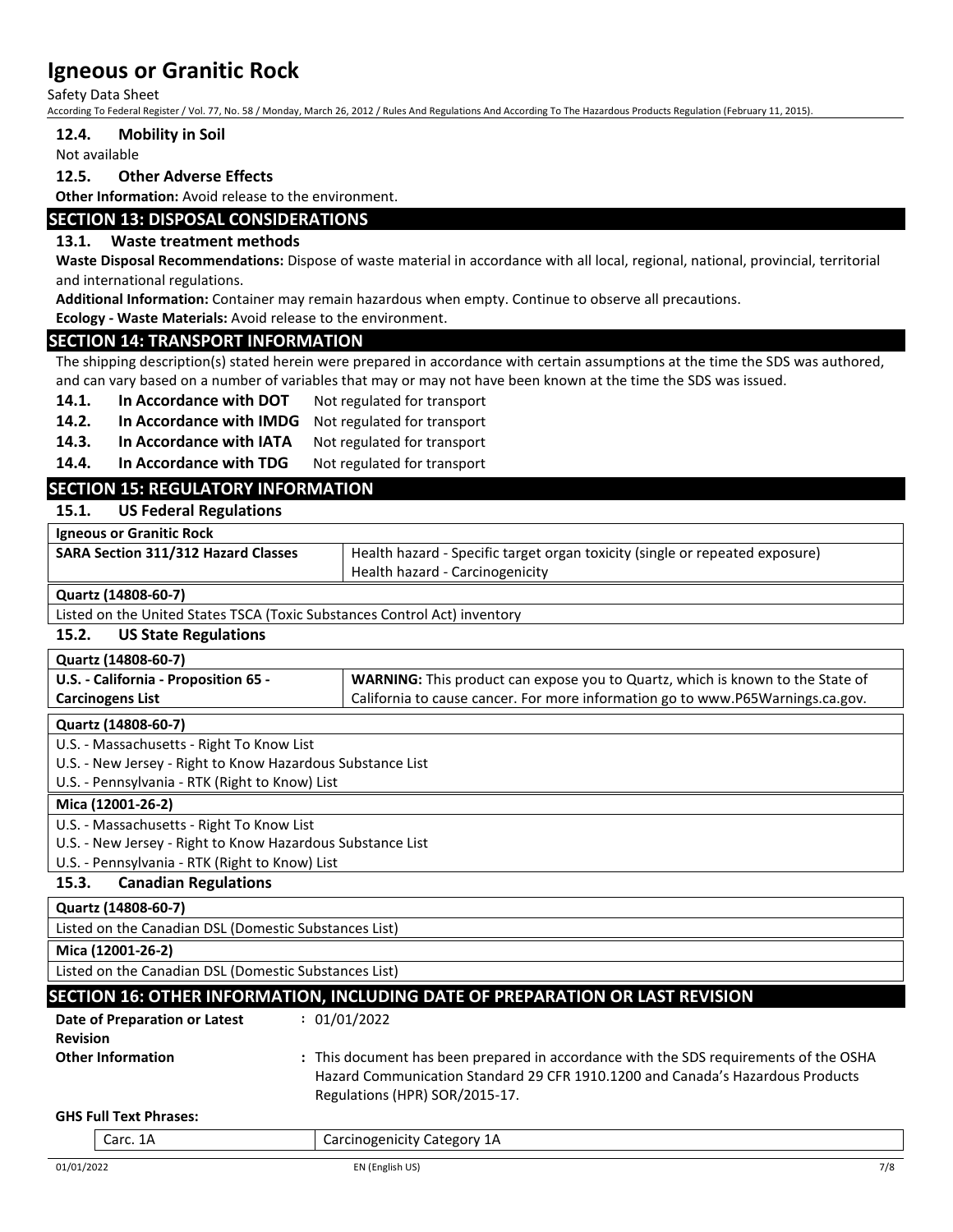Safety Data Sheet

According To Federal Register / Vol. 77, No. 58 / Monday, March 26, 2012 / Rules And Regulations And According To The Hazardous Products Regulation (February 11, 2015).

#### **12.4. Mobility in Soil**

Not available

#### **12.5. Other Adverse Effects**

**Other Information:** Avoid release to the environment.

#### **SECTION 13: DISPOSAL CONSIDERATIONS**

#### **13.1. Waste treatment methods**

**Waste Disposal Recommendations:** Dispose of waste material in accordance with all local, regional, national, provincial, territorial and international regulations.

**Additional Information:** Container may remain hazardous when empty. Continue to observe all precautions.

**Ecology - Waste Materials:** Avoid release to the environment.

#### **SECTION 14: TRANSPORT INFORMATION**

The shipping description(s) stated herein were prepared in accordance with certain assumptions at the time the SDS was authored, and can vary based on a number of variables that may or may not have been known at the time the SDS was issued.

- 14.1. In Accordance with DOT Not regulated for transport
- 14.2. In Accordance with IMDG Not regulated for transport
- 14.3. In Accordance with IATA Not regulated for transport

14.4. In Accordance with TDG Not regulated for transport

# **SECTION 15: REGULATORY INFORMATION**

#### **15.1. US Federal Regulations**

| <b>Igneous or Granitic Rock</b>                                                                                            |                                 |  |
|----------------------------------------------------------------------------------------------------------------------------|---------------------------------|--|
| <b>SARA Section 311/312 Hazard Classes</b><br>Health hazard - Specific target organ toxicity (single or repeated exposure) |                                 |  |
|                                                                                                                            | Health hazard - Carcinogenicity |  |
| Quartz (14808-60-7)                                                                                                        |                                 |  |
| Listed on the United States TSCA (Toxic Substances Control Act) inventory                                                  |                                 |  |
| <b>US State Regulations</b><br>15.2.                                                                                       |                                 |  |
| Quartz (14808-60-7)                                                                                                        |                                 |  |
| U.S. - California - Proposition 65 -<br>WARNING: This product can expose you to Quartz, which is known to the State of     |                                 |  |

### **Quartz (14808-60-7)**

U.S. - Massachusetts - Right To Know List

U.S. - New Jersey - Right to Know Hazardous Substance List

U.S. - Pennsylvania - RTK (Right to Know) List

# **Mica (12001-26-2)**

U.S. - Massachusetts - Right To Know List

U.S. - New Jersey - Right to Know Hazardous Substance List

U.S. - Pennsylvania - RTK (Right to Know) List

# **15.3. Canadian Regulations**

| Quartz (14808-60-7)                                                           |
|-------------------------------------------------------------------------------|
| Listed on the Canadian DSL (Domestic Substances List)                         |
| Mica (12001-26-2)                                                             |
| Listed on the Canadian DSL (Domestic Substances List)                         |
| SECTION 16: OTHER INFORMATION, INCLUDING DATE OF PREPARATION OR LAST REVISION |
| . 01/01/2022<br>Date of Prenaration or Latest                                 |

| Date of Preparation or Latest | : 01/01/2022    |
|-------------------------------|-----------------|
| <b>Revision</b>               |                 |
| <b>Other Information</b>      | : This document |

has been prepared in accordance with the SDS requirements of the OSHA Hazard Communication Standard 29 CFR 1910.1200 and Canada's Hazardous Products Regulations (HPR) SOR/2015-17.

California to cause cancer. For more information go to www.P65Warnings.ca.gov.

#### **GHS Full Text Phrases:**

Carc. 1A Carcinogenicity Category 1A